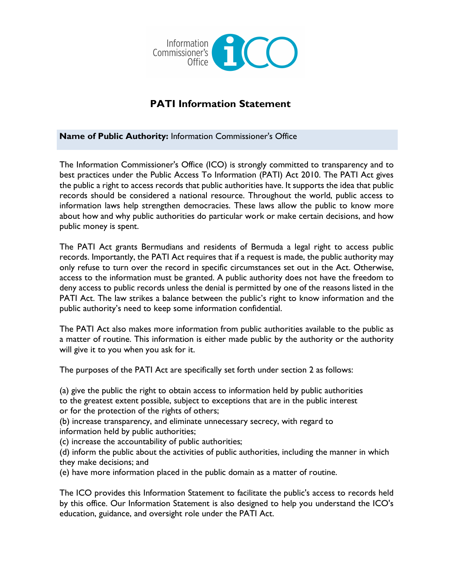

# **PATI Information Statement**

**Name of Public Authority:** Information Commissioner's Office

The Information Commissioner's Office (ICO) is strongly committed to transparency and to best practices under the Public Access To Information (PATI) Act 2010. The PATI Act gives the public a right to access records that public authorities have. It supports the idea that public records should be considered a national resource. Throughout the world, public access to information laws help strengthen democracies. These laws allow the public to know more about how and why public authorities do particular work or make certain decisions, and how public money is spent.

The PATI Act grants Bermudians and residents of Bermuda a legal right to access public records. Importantly, the PATI Act requires that if a request is made, the public authority may only refuse to turn over the record in specific circumstances set out in the Act. Otherwise, access to the information must be granted. A public authority does not have the freedom to deny access to public records unless the denial is permitted by one of the reasons listed in the PATI Act. The law strikes a balance between the public's right to know information and the public authority's need to keep some information confidential.

The PATI Act also makes more information from public authorities available to the public as a matter of routine. This information is either made public by the authority or the authority will give it to you when you ask for it.

The purposes of the PATI Act are specifically set forth under section 2 as follows:

(a) give the public the right to obtain access to information held by public authorities

to the greatest extent possible, subject to exceptions that are in the public interest or for the protection of the rights of others;

(b) increase transparency, and eliminate unnecessary secrecy, with regard to information held by public authorities;

(c) increase the accountability of public authorities;

(d) inform the public about the activities of public authorities, including the manner in which they make decisions; and

(e) have more information placed in the public domain as a matter of routine.

The ICO provides this Information Statement to facilitate the public's access to records held by this office. Our Information Statement is also designed to help you understand the ICO's education, guidance, and oversight role under the PATI Act.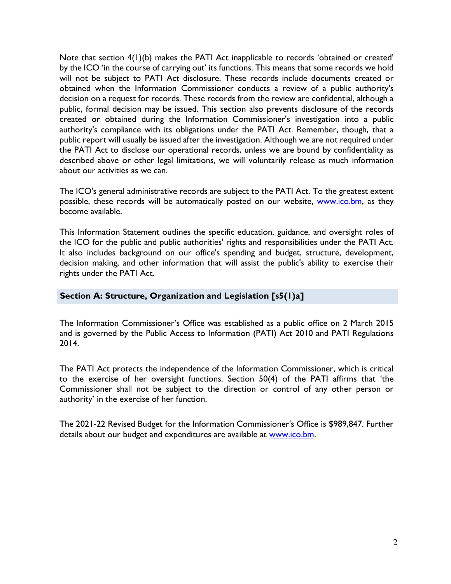Note that section 4(1)(b) makes the PATI Act inapplicable to records 'obtained or created' by the ICO 'in the course of carrying out' its functions. This means that some records we hold will not be subject to PATI Act disclosure. These records include documents created or obtained when the Information Commissioner conducts a review of a public authority's decision on a request for records. These records from the review are confidential, although a public, formal decision may be issued. This section also prevents disclosure of the records created or obtained during the Information Commissioner's investigation into a public authority's compliance with its obligations under the PATI Act. Remember, though, that a public report will usually be issued after the investigation. Although we are not required under the PATI Act to disclose our operational records, unless we are bound by confidentiality as described above or other legal limitations, we will voluntarily release as much information about our activities as we can.

The ICO's general administrative records are subject to the PATI Act. To the greatest extent possible, these records will be automatically posted on our website, www.ico.bm, as they become available.

This Information Statement outlines the specific education, guidance, and oversight roles of the ICO for the public and public authorities' rights and responsibilities under the PATI Act. It also includes background on our office's spending and budget, structure, development, decision making, and other information that will assist the public's ability to exercise their rights under the PATI Act.

### **Section A: Structure, Organization and Legislation [s5(1)a]**

The Information Commissioner's Office was established as a public office on 2 March 2015 and is governed by the Public Access to Information (PATI) Act 2010 and PATI Regulations 2014.

The PATI Act protects the independence of the Information Commissioner, which is critical to the exercise of her oversight functions. Section 50(4) of the PATI affirms that 'the Commissioner shall not be subject to the direction or control of any other person or authority' in the exercise of her function.

The 2021-22 Revised Budget for the Information Commissioner's Office is \$989,847. Further details about our budget and expenditures are available at [www.ico.bm.](http://www.ico.bm/)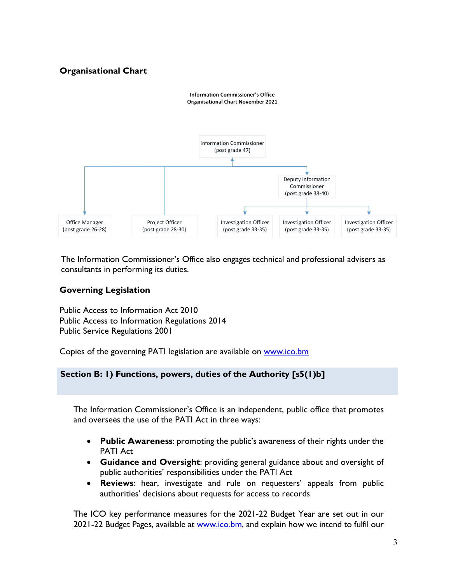## **Organisational Chart**



The Information Commissioner's Office also engages technical and professional advisers as consultants in performing its duties.

## **Governing Legislation**

Public Access to Information Act 2010 Public Access to Information Regulations 2014 Public Service Regulations 2001

Copies of the governing PATI legislation are available on [www.ico.bm](http://www.ico.bm/)

### **Section B: 1) Functions, powers, duties of the Authority [s5(1)b]**

The Information Commissioner's Office is an independent, public office that promotes and oversees the use of the PATI Act in three ways:

- **Public Awareness**: promoting the public's awareness of their rights under the PATI Act
- **Guidance and Oversight**: providing general guidance about and oversight of public authorities' responsibilities under the PATI Act
- **Reviews**: hear, investigate and rule on requesters' appeals from public authorities' decisions about requests for access to records

The ICO key performance measures for the 2021-22 Budget Year are set out in our 2021-22 Budget Pages, available at [www.ico.bm,](http://www.ico.bm/) and explain how we intend to fulfil our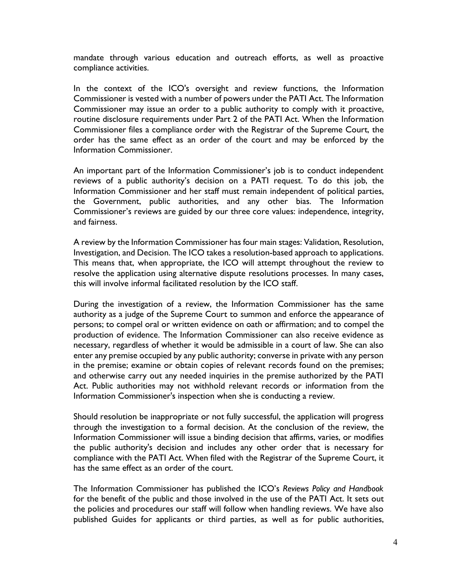mandate through various education and outreach efforts, as well as proactive compliance activities.

In the context of the ICO's oversight and review functions, the Information Commissioner is vested with a number of powers under the PATI Act. The Information Commissioner may issue an order to a public authority to comply with it proactive, routine disclosure requirements under Part 2 of the PATI Act. When the Information Commissioner files a compliance order with the Registrar of the Supreme Court, the order has the same effect as an order of the court and may be enforced by the Information Commissioner.

An important part of the Information Commissioner's job is to conduct independent reviews of a public authority's decision on a PATI request. To do this job, the Information Commissioner and her staff must remain independent of political parties, the Government, public authorities, and any other bias. The Information Commissioner's reviews are guided by our three core values: independence, integrity, and fairness.

A review by the Information Commissioner has four main stages: Validation, Resolution, Investigation, and Decision. The ICO takes a resolution-based approach to applications. This means that, when appropriate, the ICO will attempt throughout the review to resolve the application using alternative dispute resolutions processes. In many cases, this will involve informal facilitated resolution by the ICO staff.

During the investigation of a review, the Information Commissioner has the same authority as a judge of the Supreme Court to summon and enforce the appearance of persons; to compel oral or written evidence on oath or affirmation; and to compel the production of evidence. The Information Commissioner can also receive evidence as necessary, regardless of whether it would be admissible in a court of law. She can also enter any premise occupied by any public authority; converse in private with any person in the premise; examine or obtain copies of relevant records found on the premises; and otherwise carry out any needed inquiries in the premise authorized by the PATI Act. Public authorities may not withhold relevant records or information from the Information Commissioner's inspection when she is conducting a review.

Should resolution be inappropriate or not fully successful, the application will progress through the investigation to a formal decision. At the conclusion of the review, the Information Commissioner will issue a binding decision that affirms, varies, or modifies the public authority's decision and includes any other order that is necessary for compliance with the PATI Act. When filed with the Registrar of the Supreme Court, it has the same effect as an order of the court.

The Information Commissioner has published the ICO's *Reviews Policy and Handbook* for the benefit of the public and those involved in the use of the PATI Act. It sets out the policies and procedures our staff will follow when handling reviews. We have also published Guides for applicants or third parties, as well as for public authorities,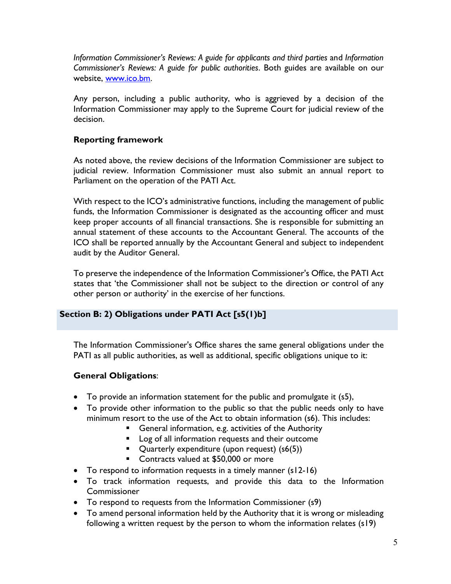*Information Commissioner's Reviews: A guide for applicants and third parties* and *Information Commissioner's Reviews: A guide for public authorities*. Both guides are available on our website, [www.ico.bm.](http://www.ico.bm/)

Any person, including a public authority, who is aggrieved by a decision of the Information Commissioner may apply to the Supreme Court for judicial review of the decision.

## **Reporting framework**

As noted above, the review decisions of the Information Commissioner are subject to judicial review. Information Commissioner must also submit an annual report to Parliament on the operation of the PATI Act.

With respect to the ICO's administrative functions, including the management of public funds, the Information Commissioner is designated as the accounting officer and must keep proper accounts of all financial transactions. She is responsible for submitting an annual statement of these accounts to the Accountant General. The accounts of the ICO shall be reported annually by the Accountant General and subject to independent audit by the Auditor General.

To preserve the independence of the Information Commissioner's Office, the PATI Act states that 'the Commissioner shall not be subject to the direction or control of any other person or authority' in the exercise of her functions.

### **Section B: 2) Obligations under PATI Act [s5(1)b]**

The Information Commissioner's Office shares the same general obligations under the PATI as all public authorities, as well as additional, specific obligations unique to it:

## **General Obligations**:

- To provide an information statement for the public and promulgate it (s5),
- To provide other information to the public so that the public needs only to have minimum resort to the use of the Act to obtain information (s6). This includes:
	- **General information, e.g. activities of the Authority**
	- **Log of all information requests and their outcome**
	- $\blacksquare$  Quarterly expenditure (upon request) (s6(5))
	- **Contracts valued at \$50,000 or more**
- To respond to information requests in a timely manner (s12-16)
- To track information requests, and provide this data to the Information **Commissioner**
- To respond to requests from the Information Commissioner (s9)
- To amend personal information held by the Authority that it is wrong or misleading following a written request by the person to whom the information relates (s19)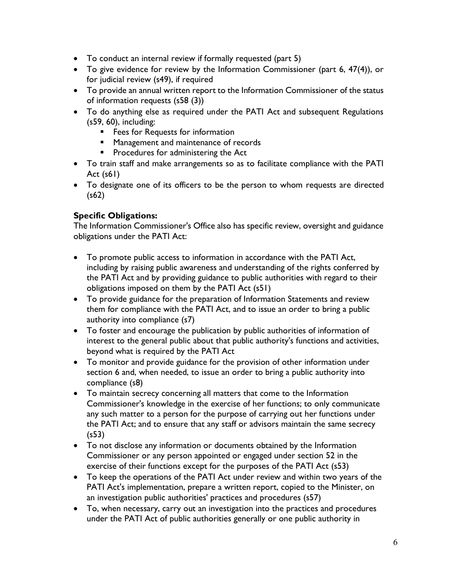- To conduct an internal review if formally requested (part 5)
- To give evidence for review by the Information Commissioner (part 6, 47(4)), or for judicial review (s49), if required
- To provide an annual written report to the Information Commissioner of the status of information requests (s58 (3))
- To do anything else as required under the PATI Act and subsequent Regulations (s59, 60), including:
	- **Fees for Requests for information**
	- **Management and maintenance of records**
	- **Procedures for administering the Act**
- To train staff and make arrangements so as to facilitate compliance with the PATI Act (s61)
- To designate one of its officers to be the person to whom requests are directed (s62)

## **Specific Obligations:**

The Information Commissioner's Office also has specific review, oversight and guidance obligations under the PATI Act:

- To promote public access to information in accordance with the PATI Act, including by raising public awareness and understanding of the rights conferred by the PATI Act and by providing guidance to public authorities with regard to their obligations imposed on them by the PATI Act (s51)
- To provide guidance for the preparation of Information Statements and review them for compliance with the PATI Act, and to issue an order to bring a public authority into compliance (s7)
- To foster and encourage the publication by public authorities of information of interest to the general public about that public authority's functions and activities, beyond what is required by the PATI Act
- To monitor and provide guidance for the provision of other information under section 6 and, when needed, to issue an order to bring a public authority into compliance (s8)
- To maintain secrecy concerning all matters that come to the Information Commissioner's knowledge in the exercise of her functions; to only communicate any such matter to a person for the purpose of carrying out her functions under the PATI Act; and to ensure that any staff or advisors maintain the same secrecy (s53)
- To not disclose any information or documents obtained by the Information Commissioner or any person appointed or engaged under section 52 in the exercise of their functions except for the purposes of the PATI Act (s53)
- To keep the operations of the PATI Act under review and within two years of the PATI Act's implementation, prepare a written report, copied to the Minister, on an investigation public authorities' practices and procedures (s57)
- To, when necessary, carry out an investigation into the practices and procedures under the PATI Act of public authorities generally or one public authority in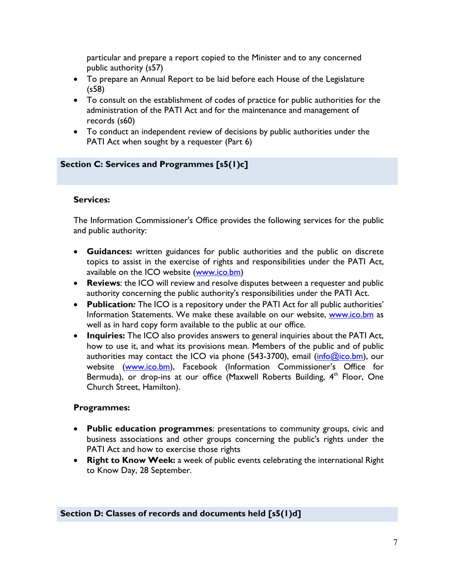particular and prepare a report copied to the Minister and to any concerned public authority (s57)

- To prepare an Annual Report to be laid before each House of the Legislature (s58)
- To consult on the establishment of codes of practice for public authorities for the administration of the PATI Act and for the maintenance and management of records (s60)
- To conduct an independent review of decisions by public authorities under the PATI Act when sought by a requester (Part 6)

## **Section C: Services and Programmes [s5(1)c]**

### **Services:**

The Information Commissioner's Office provides the following services for the public and public authority:

- **Guidances:** written guidances for public authorities and the public on discrete topics to assist in the exercise of rights and responsibilities under the PATI Act, available on the ICO website [\(www.ico.bm\)](http://www.ico.bm/)
- **Reviews**: the ICO will review and resolve disputes between a requester and public authority concerning the public authority's responsibilities under the PATI Act.
- **Publication***:* The ICO is a repository under the PATI Act for all public authorities' Information Statements. We make these available on our website, [www.ico.bm](http://www.ico.bm/) as well as in hard copy form available to the public at our office.
- **Inquiries:** The ICO also provides answers to general inquiries about the PATI Act, how to use it, and what its provisions mean. Members of the public and of public authorities may contact the ICO via phone  $(543-3700)$ , email  $(info@ico.bm)$ , our website [\(www.ico.bm\)](http://www.ico.bm/), Facebook (Information Commissioner's Office for Bermuda), or drop-ins at our office (Maxwell Roberts Building, 4<sup>th</sup> Floor, One Church Street, Hamilton).

### **Programmes:**

- **Public education programmes**: presentations to community groups, civic and business associations and other groups concerning the public's rights under the PATI Act and how to exercise those rights
- **Right to Know Week:** a week of public events celebrating the international Right to Know Day, 28 September.

## **Section D: Classes of records and documents held [s5(1)d]**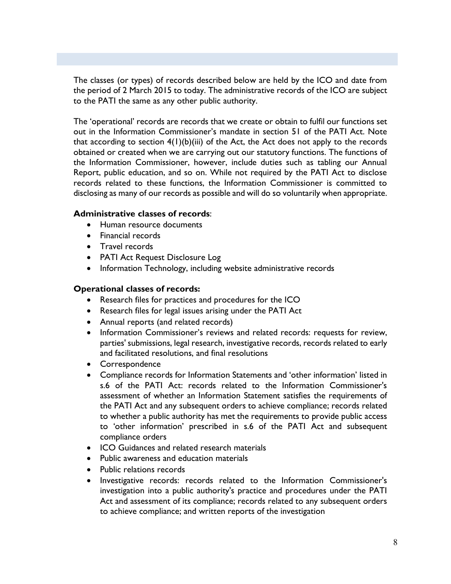The classes (or types) of records described below are held by the ICO and date from the period of 2 March 2015 to today. The administrative records of the ICO are subject to the PATI the same as any other public authority.

The 'operational' records are records that we create or obtain to fulfil our functions set out in the Information Commissioner's mandate in section 51 of the PATI Act. Note that according to section  $4(1)(b)(iii)$  of the Act, the Act does not apply to the records obtained or created when we are carrying out our statutory functions. The functions of the Information Commissioner, however, include duties such as tabling our Annual Report, public education, and so on. While not required by the PATI Act to disclose records related to these functions, the Information Commissioner is committed to disclosing as many of our records as possible and will do so voluntarily when appropriate.

#### **Administrative classes of records**:

- Human resource documents
- Financial records
- Travel records
- PATI Act Request Disclosure Log
- Information Technology, including website administrative records

## **Operational classes of records:**

- Research files for practices and procedures for the ICO
- Research files for legal issues arising under the PATI Act
- Annual reports (and related records)
- Information Commissioner's reviews and related records: requests for review, parties' submissions, legal research, investigative records, records related to early and facilitated resolutions, and final resolutions
- Correspondence
- Compliance records for Information Statements and 'other information' listed in s.6 of the PATI Act: records related to the Information Commissioner's assessment of whether an Information Statement satisfies the requirements of the PATI Act and any subsequent orders to achieve compliance; records related to whether a public authority has met the requirements to provide public access to 'other information' prescribed in s.6 of the PATI Act and subsequent compliance orders
- ICO Guidances and related research materials
- Public awareness and education materials
- Public relations records
- Investigative records: records related to the Information Commissioner's investigation into a public authority's practice and procedures under the PATI Act and assessment of its compliance; records related to any subsequent orders to achieve compliance; and written reports of the investigation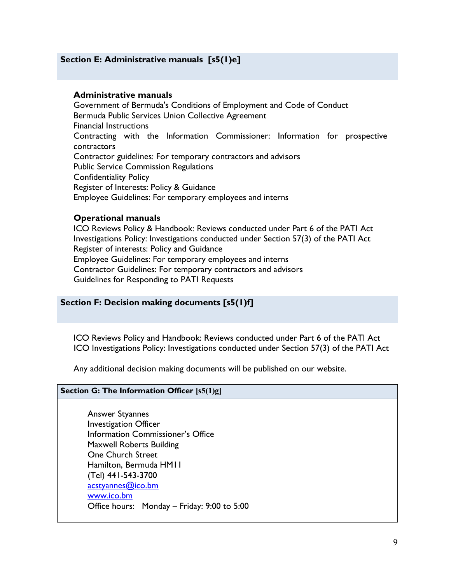### **Section E: Administrative manuals [s5(1)e]**

#### **Administrative manuals**

Government of Bermuda's Conditions of Employment and Code of Conduct Bermuda Public Services Union Collective Agreement Financial Instructions Contracting with the Information Commissioner: Information for prospective contractors Contractor guidelines: For temporary contractors and advisors Public Service Commission Regulations Confidentiality Policy Register of Interests: Policy & Guidance Employee Guidelines: For temporary employees and interns

#### **Operational manuals**

ICO Reviews Policy & Handbook: Reviews conducted under Part 6 of the PATI Act Investigations Policy: Investigations conducted under Section 57(3) of the PATI Act Register of interests: Policy and Guidance Employee Guidelines: For temporary employees and interns Contractor Guidelines: For temporary contractors and advisors Guidelines for Responding to PATI Requests

#### **Section F: Decision making documents [s5(1)f]**

ICO Reviews Policy and Handbook: Reviews conducted under Part 6 of the PATI Act ICO Investigations Policy: Investigations conducted under Section 57(3) of the PATI Act

Any additional decision making documents will be published on our website.

#### **Section G: The Information Officer [s5(1)g]**

Answer Styannes Investigation Officer Information Commissioner's Office Maxwell Roberts Building One Church Street Hamilton, Bermuda HM11 (Tel) 441-543-3700 [acstyannes@ico.bm](mailto:acstyannes@ico.bm) [www.ico.bm](http://www.ico.bm/) Office hours: Monday – Friday: 9:00 to 5:00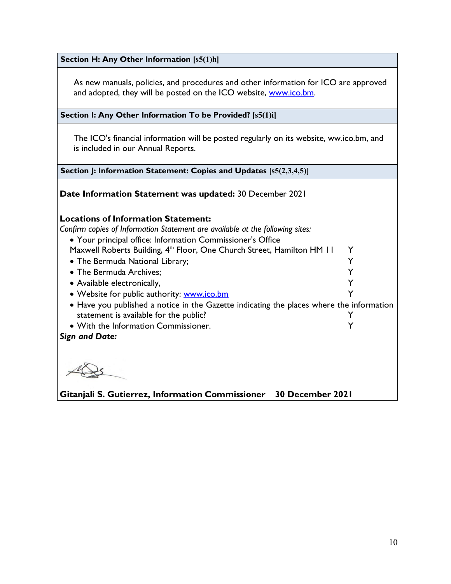**Section H: Any Other Information [s5(1)h]**

As new manuals, policies, and procedures and other information for ICO are approved and adopted, they will be posted on the ICO website, [www.ico.bm.](http://www.ico.bm/)

**Section I: Any Other Information To be Provided? [s5(1)i]**

The ICO's financial information will be posted regularly on its website, ww.ico.bm, and is included in our Annual Reports.

**Section J: Information Statement: Copies and Updates [s5(2,3,4,5)]**

**Date Information Statement was updated:** 30 December 2021

**Locations of Information Statement:**

*Confirm copies of Information Statement are available at the following sites:*

• Your principal office: Information Commissioner's Office

Maxwell Roberts Building, 4<sup>th</sup> Floor, One Church Street, Hamilton HM 11 Y

• The Bermuda National Library;  $\gamma$ 

• The Bermuda Archives; Y

- Available electronically, The Contract of the Contract of the Contract of the Contract of the Contract of the Contract of the Contract of the Contract of the Contract of the Contract of the Contract of the Contract of th
- Website for public authority: [www.ico.bm](http://www.ico.bm/)  $Y$
- Have you published a notice in the Gazette indicating the places where the information statement is available for the public?
- With the Information Commissioner. Y

*Sign and Date:* 

**Gitanjali S. Gutierrez, Information Commissioner 30 December 2021**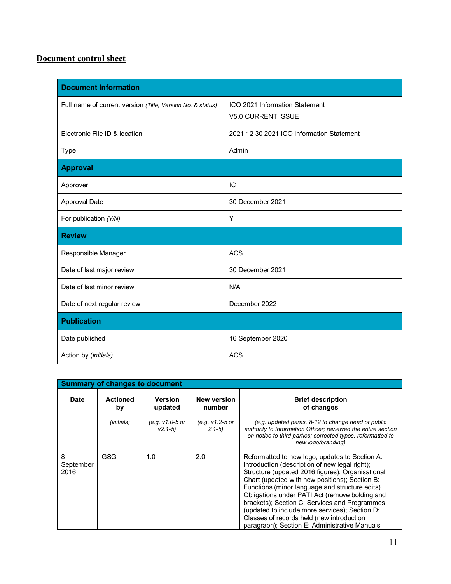# **Document control sheet**

| <b>Document Information</b>                                |                                                             |  |  |  |
|------------------------------------------------------------|-------------------------------------------------------------|--|--|--|
| Full name of current version (Title, Version No. & status) | ICO 2021 Information Statement<br><b>V5.0 CURRENT ISSUE</b> |  |  |  |
| Electronic File ID & location                              | 2021 12 30 2021 ICO Information Statement                   |  |  |  |
| Type                                                       | Admin                                                       |  |  |  |
| <b>Approval</b>                                            |                                                             |  |  |  |
| Approver                                                   | IC                                                          |  |  |  |
| <b>Approval Date</b>                                       | 30 December 2021                                            |  |  |  |
| For publication (Y/N)                                      | Y                                                           |  |  |  |
| <b>Review</b>                                              |                                                             |  |  |  |
| Responsible Manager                                        | <b>ACS</b>                                                  |  |  |  |
| Date of last major review                                  | 30 December 2021                                            |  |  |  |
| Date of last minor review                                  | N/A                                                         |  |  |  |
| Date of next regular review                                | December 2022                                               |  |  |  |
| <b>Publication</b>                                         |                                                             |  |  |  |
| Date published                                             | 16 September 2020                                           |  |  |  |
| Action by (initials)                                       | ACS                                                         |  |  |  |

| <b>Summary of changes to document</b> |                       |                                |                              |                                                                                                                                                                                                                                                                                                                                                                                                                                                                                                             |  |  |
|---------------------------------------|-----------------------|--------------------------------|------------------------------|-------------------------------------------------------------------------------------------------------------------------------------------------------------------------------------------------------------------------------------------------------------------------------------------------------------------------------------------------------------------------------------------------------------------------------------------------------------------------------------------------------------|--|--|
| <b>Date</b>                           | <b>Actioned</b><br>by | <b>Version</b><br>updated      | <b>New version</b><br>number | <b>Brief description</b><br>of changes                                                                                                                                                                                                                                                                                                                                                                                                                                                                      |  |  |
|                                       | (initials)            | (e.g. v1.0-5 or<br>$V2.1 - 5)$ | (e.g. v1.2-5 or<br>$2.1 - 5$ | (e.g. updated paras. 8-12 to change head of public<br>authority to Information Officer; reviewed the entire section<br>on notice to third parties; corrected typos; reformatted to<br>new logo/branding)                                                                                                                                                                                                                                                                                                    |  |  |
| 8<br>September<br>2016                | GSG                   | 1.0                            | 2.0                          | Reformatted to new logo; updates to Section A:<br>Introduction (description of new legal right);<br>Structure (updated 2016 figures), Organisational<br>Chart (updated with new positions); Section B:<br>Functions (minor language and structure edits)<br>Obligations under PATI Act (remove bolding and<br>brackets); Section C: Services and Programmes<br>(updated to include more services); Section D:<br>Classes of records held (new introduction<br>paragraph); Section E: Administrative Manuals |  |  |